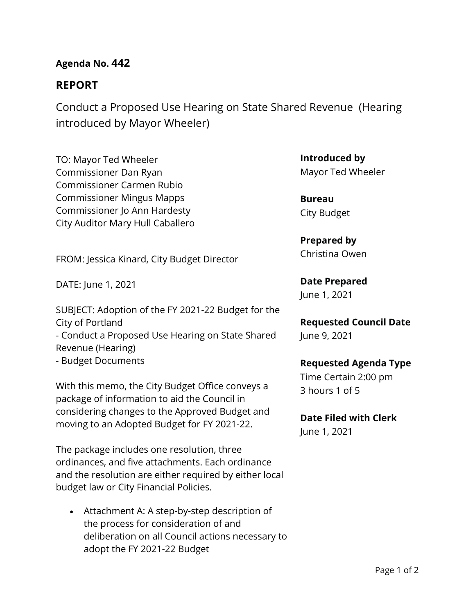# **Agenda No. 442**

# **REPORT**

Conduct a Proposed Use Hearing on State Shared Revenue (Hearing introduced by Mayor Wheeler)

TO: Mayor Ted Wheeler Commissioner Dan Ryan Commissioner Carmen Rubio Commissioner Mingus Mapps Commissioner Jo Ann Hardesty City Auditor Mary Hull Caballero

FROM: Jessica Kinard, City Budget Director

DATE: June 1, 2021

SUBJECT: Adoption of the FY 2021-22 Budget for the City of Portland - Conduct a Proposed Use Hearing on State Shared Revenue (Hearing) - Budget Documents

With this memo, the City Budget Office conveys a package of information to aid the Council in considering changes to the Approved Budget and moving to an Adopted Budget for FY 2021-22.

The package includes one resolution, three ordinances, and five attachments. Each ordinance and the resolution are either required by either local budget law or City Financial Policies.

• Attachment A: A step-by-step description of the process for consideration of and deliberation on all Council actions necessary to adopt the FY 2021-22 Budget

**Introduced by** Mayor Ted Wheeler

**Bureau** City Budget

**Prepared by** Christina Owen

**Date Prepared** June 1, 2021

**Requested Council Date** June 9, 2021

## **Requested Agenda Type**

Time Certain 2:00 pm 3 hours 1 of 5

**Date Filed with Clerk**  June 1, 2021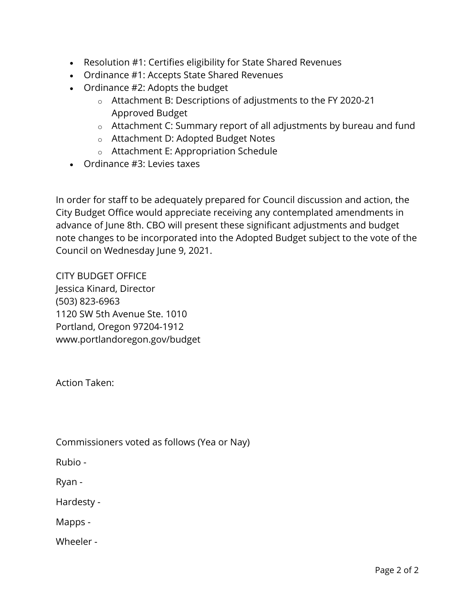- Resolution #1: Certifies eligibility for State Shared Revenues
- Ordinance #1: Accepts State Shared Revenues
- Ordinance #2: Adopts the budget
	- o Attachment B: Descriptions of adjustments to the FY 2020-21 Approved Budget
	- o Attachment C: Summary report of all adjustments by bureau and fund
	- o Attachment D: Adopted Budget Notes
	- o Attachment E: Appropriation Schedule
- Ordinance #3: Levies taxes

In order for staff to be adequately prepared for Council discussion and action, the City Budget Office would appreciate receiving any contemplated amendments in advance of June 8th. CBO will present these significant adjustments and budget note changes to be incorporated into the Adopted Budget subject to the vote of the Council on Wednesday June 9, 2021.

CITY BUDGET OFFICE Jessica Kinard, Director (503) 823-6963 1120 SW 5th Avenue Ste. 1010 Portland, Oregon 97204-1912 www.portlandoregon.gov/budget

Action Taken:

Commissioners voted as follows (Yea or Nay)

Rubio -

Ryan -

Hardesty -

Mapps -

Wheeler -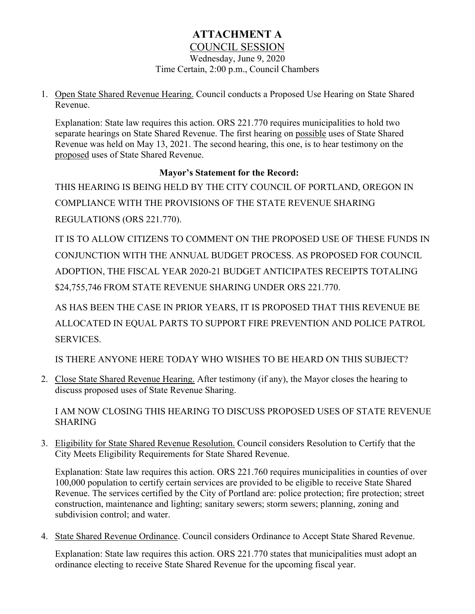# **ATTACHMENT A** COUNCIL SESSION

Wednesday, June 9, 2020 Time Certain, 2:00 p.m., Council Chambers

1. Open State Shared Revenue Hearing. Council conducts a Proposed Use Hearing on State Shared Revenue.

Explanation: State law requires this action. ORS 221.770 requires municipalities to hold two separate hearings on State Shared Revenue. The first hearing on possible uses of State Shared Revenue was held on May 13, 2021. The second hearing, this one, is to hear testimony on the proposed uses of State Shared Revenue.

# **Mayor's Statement for the Record:**

THIS HEARING IS BEING HELD BY THE CITY COUNCIL OF PORTLAND, OREGON IN COMPLIANCE WITH THE PROVISIONS OF THE STATE REVENUE SHARING REGULATIONS (ORS 221.770).

IT IS TO ALLOW CITIZENS TO COMMENT ON THE PROPOSED USE OF THESE FUNDS IN CONJUNCTION WITH THE ANNUAL BUDGET PROCESS. AS PROPOSED FOR COUNCIL ADOPTION, THE FISCAL YEAR 2020-21 BUDGET ANTICIPATES RECEIPTS TOTALING \$24,755,746 FROM STATE REVENUE SHARING UNDER ORS 221.770.

AS HAS BEEN THE CASE IN PRIOR YEARS, IT IS PROPOSED THAT THIS REVENUE BE ALLOCATED IN EQUAL PARTS TO SUPPORT FIRE PREVENTION AND POLICE PATROL SERVICES.

IS THERE ANYONE HERE TODAY WHO WISHES TO BE HEARD ON THIS SUBJECT?

2. Close State Shared Revenue Hearing. After testimony (if any), the Mayor closes the hearing to discuss proposed uses of State Revenue Sharing.

I AM NOW CLOSING THIS HEARING TO DISCUSS PROPOSED USES OF STATE REVENUE **SHARING** 

3. Eligibility for State Shared Revenue Resolution. Council considers Resolution to Certify that the City Meets Eligibility Requirements for State Shared Revenue.

Explanation: State law requires this action. ORS 221.760 requires municipalities in counties of over 100,000 population to certify certain services are provided to be eligible to receive State Shared Revenue. The services certified by the City of Portland are: police protection; fire protection; street construction, maintenance and lighting; sanitary sewers; storm sewers; planning, zoning and subdivision control; and water.

4. State Shared Revenue Ordinance. Council considers Ordinance to Accept State Shared Revenue.

Explanation: State law requires this action. ORS 221.770 states that municipalities must adopt an ordinance electing to receive State Shared Revenue for the upcoming fiscal year.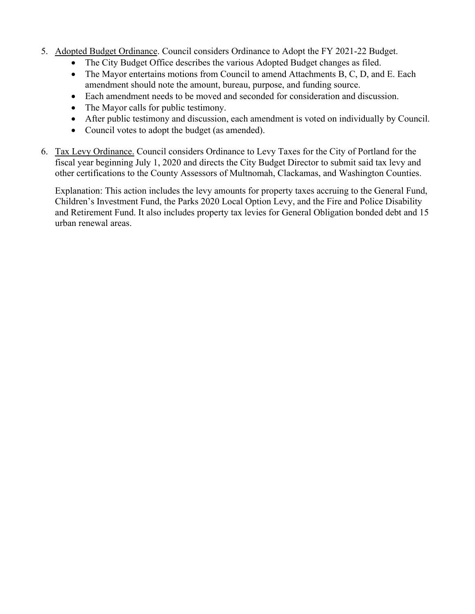- 5. Adopted Budget Ordinance. Council considers Ordinance to Adopt the FY 2021-22 Budget.
	- The City Budget Office describes the various Adopted Budget changes as filed.
	- The Mayor entertains motions from Council to amend Attachments B, C, D, and E. Each amendment should note the amount, bureau, purpose, and funding source.
	- Each amendment needs to be moved and seconded for consideration and discussion.
	- The Mayor calls for public testimony.
	- After public testimony and discussion, each amendment is voted on individually by Council.
	- Council votes to adopt the budget (as amended).
- 6. Tax Levy Ordinance. Council considers Ordinance to Levy Taxes for the City of Portland for the fiscal year beginning July 1, 2020 and directs the City Budget Director to submit said tax levy and other certifications to the County Assessors of Multnomah, Clackamas, and Washington Counties.

Explanation: This action includes the levy amounts for property taxes accruing to the General Fund, Children's Investment Fund, the Parks 2020 Local Option Levy, and the Fire and Police Disability and Retirement Fund. It also includes property tax levies for General Obligation bonded debt and 15 urban renewal areas.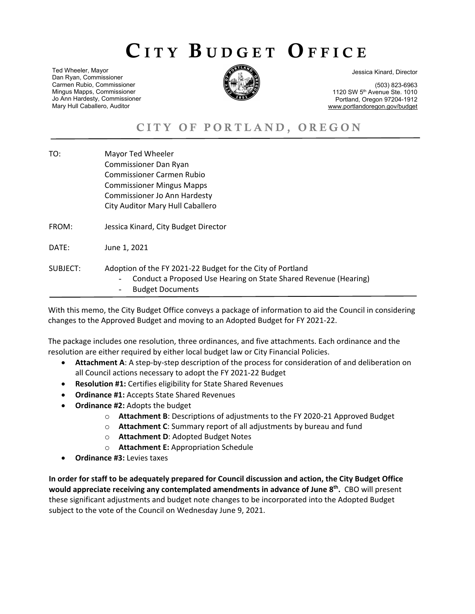# CITY BUDGET OFFICE

Ted Wheeler, Mayor Dan Ryan, Commissioner Carmen Rubio, Commissioner Mingus Mapps, Commissioner Jo Ann Hardesty, Commissioner Mary Hull Caballero, Auditor



Jessica Kinard, Director

(503) 823-6963 1120 SW 5th Avenue Ste. 1010 Portland, Oregon 97204-1912 www.portlandoregon.gov/budget

# CITY OF PORTLAND, OREGON

TO: Mayor Ted Wheeler Commissioner Dan Ryan Commissioner Carmen Rubio Commissioner Mingus Mapps Commissioner Jo Ann Hardesty City Auditor Mary Hull Caballero FROM: Jessica Kinard, City Budget Director DATE: June 1, 2021 SUBJECT: Adoption of the FY 2021-22 Budget for the City of Portland Conduct a Proposed Use Hearing on State Shared Revenue (Hearing) **Budget Documents** 

With this memo, the City Budget Office conveys a package of information to aid the Council in considering changes to the Approved Budget and moving to an Adopted Budget for FY 2021-22.

The package includes one resolution, three ordinances, and five attachments. Each ordinance and the resolution are either required by either local budget law or City Financial Policies.

- **Attachment A**: A step-by-step description of the process for consideration of and deliberation on all Council actions necessary to adopt the FY 2021-22 Budget
- **Resolution #1:** Certifies eligibility for State Shared Revenues
- **Ordinance #1:** Accepts State Shared Revenues
- **Ordinance #2:** Adopts the budget
	- o **Attachment B**: Descriptions of adjustments to the FY 2020-21 Approved Budget
	- o **Attachment C**: Summary report of all adjustments by bureau and fund
	- o **Attachment D**: Adopted Budget Notes
	- o **Attachment E:** Appropriation Schedule
- **Ordinance #3:** Levies taxes

**In order for staff to be adequately prepared for Council discussion and action, the City Budget Office** would appreciate receiving any contemplated amendments in advance of June 8<sup>th</sup>. CBO will present these significant adjustments and budget note changes to be incorporated into the Adopted Budget subject to the vote of the Council on Wednesday June 9, 2021.